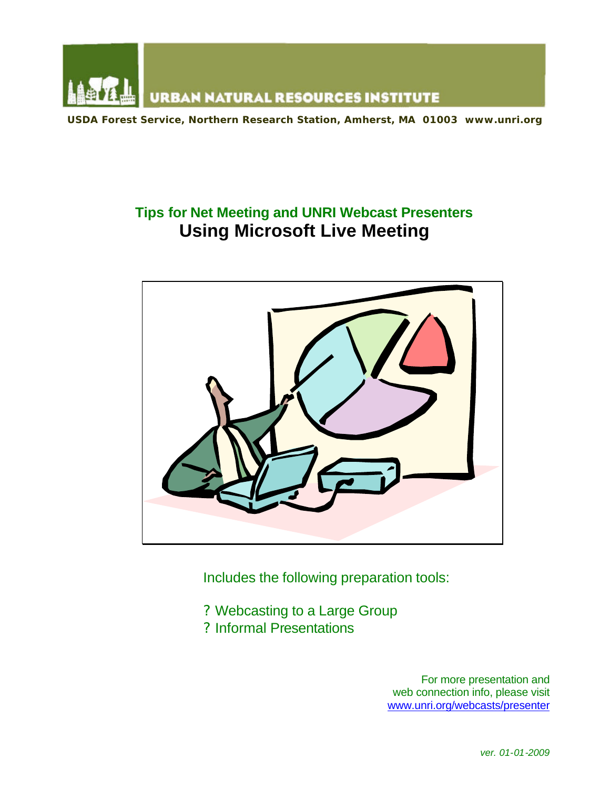

**USDA Forest Service, Northern Research Station, Amherst, MA 01003 www.unri.org**

# **Tips for Net Meeting and UNRI Webcast Presenters Using Microsoft Live Meeting**



Includes the following preparation tools:

- ? Webcasting to a Large Group
- ? Informal Presentations

For more presentation and web connection info, please visit www.unri.org/webcasts/presenter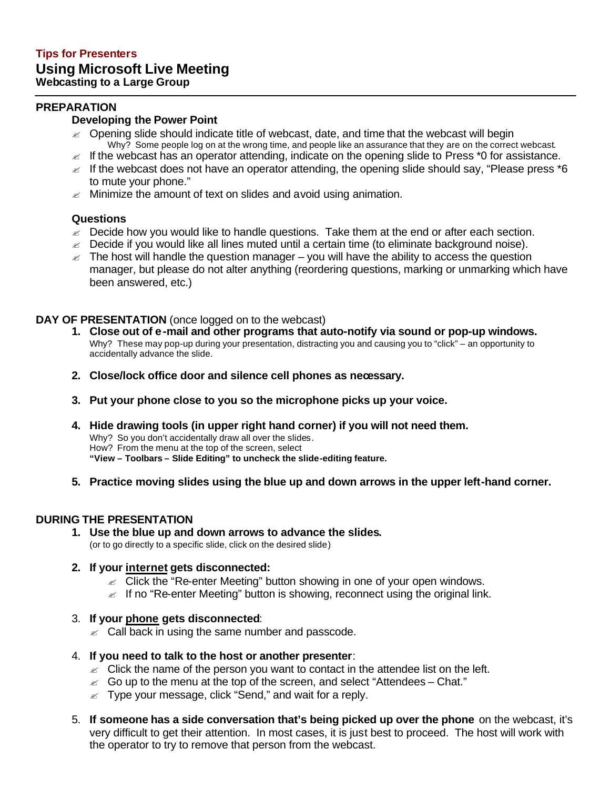## **PREPARATION**

## **Developing the Power Point**

- $\epsilon$  Opening slide should indicate title of webcast, date, and time that the webcast will begin Why? Some people log on at the wrong time, and people like an assurance that they are on the correct webcast.
- $\epsilon$  If the webcast has an operator attending, indicate on the opening slide to Press \*0 for assistance.
- $\epsilon$  If the webcast does not have an operator attending, the opening slide should say, "Please press  $*$ 6 to mute your phone."
- $\mathbb Z$  Minimize the amount of text on slides and avoid using animation.

#### **Questions**

- $\epsilon$  Decide how you would like to handle questions. Take them at the end or after each section.
- $\epsilon$  Decide if you would like all lines muted until a certain time (to eliminate background noise).
- $\epsilon$  The host will handle the question manager you will have the ability to access the question manager, but please do not alter anything (reordering questions, marking or unmarking which have been answered, etc.)

## **DAY OF PRESENTATION** (once logged on to the webcast)

- **1. Close out of e-mail and other programs that auto-notify via sound or pop-up windows.** Why? These may pop-up during your presentation, distracting you and causing you to "click" – an opportunity to accidentally advance the slide.
- **2. Close/lock office door and silence cell phones as necessary.**
- **3. Put your phone close to you so the microphone picks up your voice.**
- **4. Hide drawing tools (in upper right hand corner) if you will not need them.** Why? So you don't accidentally draw all over the slides. How? From the menu at the top of the screen, select **"View – Toolbars – Slide Editing" to uncheck the slide-editing feature.**
- **5. Practice moving slides using the blue up and down arrows in the upper left-hand corner.**

## **DURING THE PRESENTATION**

**1. Use the blue up and down arrows to advance the slides.** (or to go directly to a specific slide, click on the desired slide)

## **2. If your internet gets disconnected:**

- $\epsilon$  Click the "Re-enter Meeting" button showing in one of your open windows.
- $\epsilon$  If no "Re-enter Meeting" button is showing, reconnect using the original link.
- 3. **If your phone gets disconnected**:
	- $\mathbb Z$  Call back in using the same number and passcode.
- 4. **If you need to talk to the host or another presenter**:
	- $\epsilon$  Click the name of the person you want to contact in the attendee list on the left.
	- $\epsilon$  Go up to the menu at the top of the screen, and select "Attendees Chat."
	- $\epsilon$  Type your message, click "Send," and wait for a reply.
- 5. **If someone has a side conversation that's being picked up over the phone** on the webcast, it's very difficult to get their attention. In most cases, it is just best to proceed. The host will work with the operator to try to remove that person from the webcast.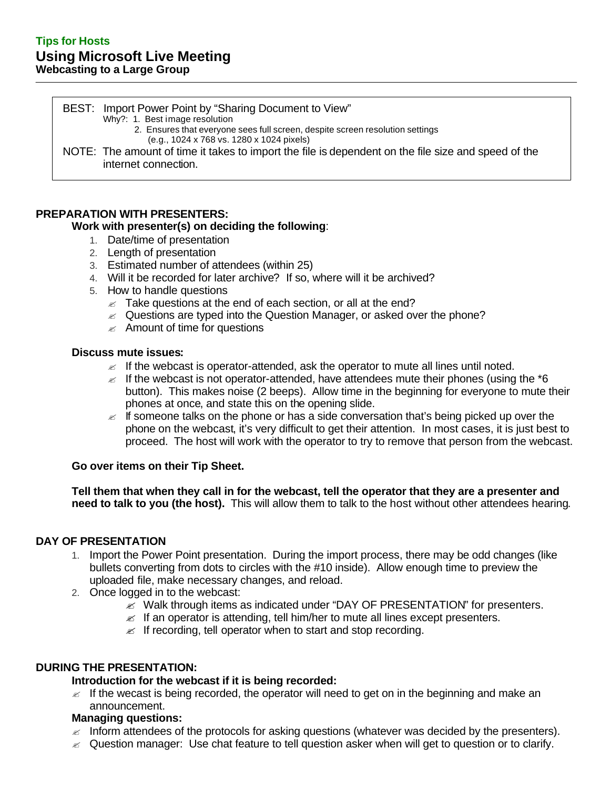BEST: Import Power Point by "Sharing Document to View" Why?: 1. Best image resolution 2. Ensures that everyone sees full screen, despite screen resolution settings (e.g., 1024 x 768 vs. 1280 x 1024 pixels) NOTE: The amount of time it takes to import the file is dependent on the file size and speed of the internet connection.

## **PREPARATION WITH PRESENTERS:**

#### **Work with presenter(s) on deciding the following**:

- 1. Date/time of presentation
- 2. Length of presentation
- 3. Estimated number of attendees (within 25)
- 4. Will it be recorded for later archive? If so, where will it be archived?
- 5. How to handle questions
	- $\mathbb Z$  Take questions at the end of each section, or all at the end?
	- $\approx$  Questions are typed into the Question Manager, or asked over the phone?
	- $\mathscr Z$  Amount of time for questions

#### **Discuss mute issues:**

- $\mathbb Z$  If the webcast is operator-attended, ask the operator to mute all lines until noted.
- $\epsilon$  If the webcast is not operator-attended, have attendees mute their phones (using the  $*$ 6 button). This makes noise (2 beeps). Allow time in the beginning for everyone to mute their phones at once, and state this on the opening slide.
- $\epsilon$  If someone talks on the phone or has a side conversation that's being picked up over the phone on the webcast, it's very difficult to get their attention. In most cases, it is just best to proceed. The host will work with the operator to try to remove that person from the webcast.

#### **Go over items on their Tip Sheet.**

**Tell them that when they call in for the webcast, tell the operator that they are a presenter and need to talk to you (the host).** This will allow them to talk to the host without other attendees hearing.

#### **DAY OF PRESENTATION**

- 1. Import the Power Point presentation. During the import process, there may be odd changes (like bullets converting from dots to circles with the #10 inside). Allow enough time to preview the uploaded file, make necessary changes, and reload.
- 2. Once logged in to the webcast:
	- $\mathscr{\mathscr{L}}$  Walk through items as indicated under "DAY OF PRESENTATION" for presenters.
	- $\epsilon$  If an operator is attending, tell him/her to mute all lines except presenters.
	- $\mathscr{L}$  If recording, tell operator when to start and stop recording.

## **DURING THE PRESENTATION:**

#### **Introduction for the webcast if it is being recorded:**

 $\epsilon$  If the wecast is being recorded, the operator will need to get on in the beginning and make an announcement.

## **Managing questions:**

- $\epsilon$  Inform attendees of the protocols for asking questions (whatever was decided by the presenters).
- $\approx$  Question manager: Use chat feature to tell question asker when will get to question or to clarify.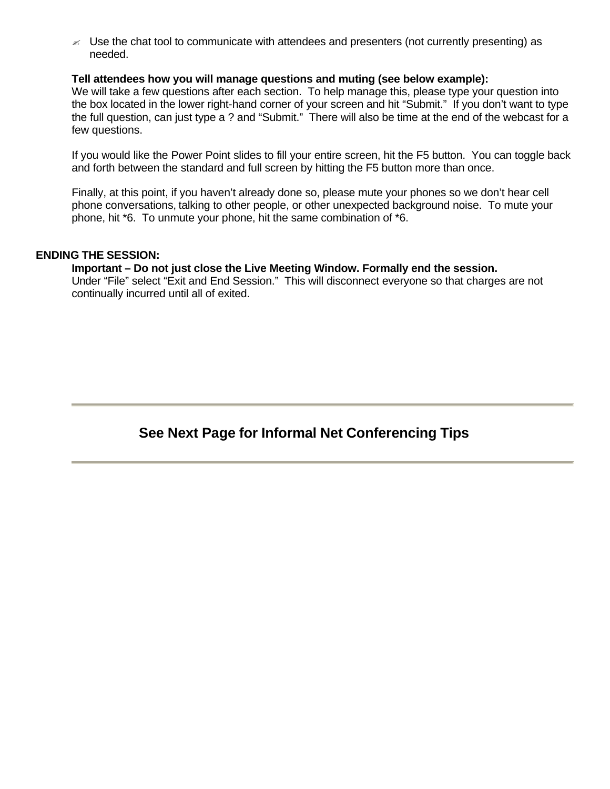$\mathbb Z$  Use the chat tool to communicate with attendees and presenters (not currently presenting) as needed.

#### **Tell attendees how you will manage questions and muting (see below example):**

We will take a few questions after each section. To help manage this, please type your question into the box located in the lower right-hand corner of your screen and hit "Submit." If you don't want to type the full question, can just type a ? and "Submit." There will also be time at the end of the webcast for a few questions.

If you would like the Power Point slides to fill your entire screen, hit the F5 button. You can toggle back and forth between the standard and full screen by hitting the F5 button more than once.

Finally, at this point, if you haven't already done so, please mute your phones so we don't hear cell phone conversations, talking to other people, or other unexpected background noise. To mute your phone, hit \*6. To unmute your phone, hit the same combination of \*6.

#### **ENDING THE SESSION:**

#### **Important – Do not just close the Live Meeting Window. Formally end the session.**

Under "File" select "Exit and End Session." This will disconnect everyone so that charges are not continually incurred until all of exited.

## **See Next Page for Informal Net Conferencing Tips**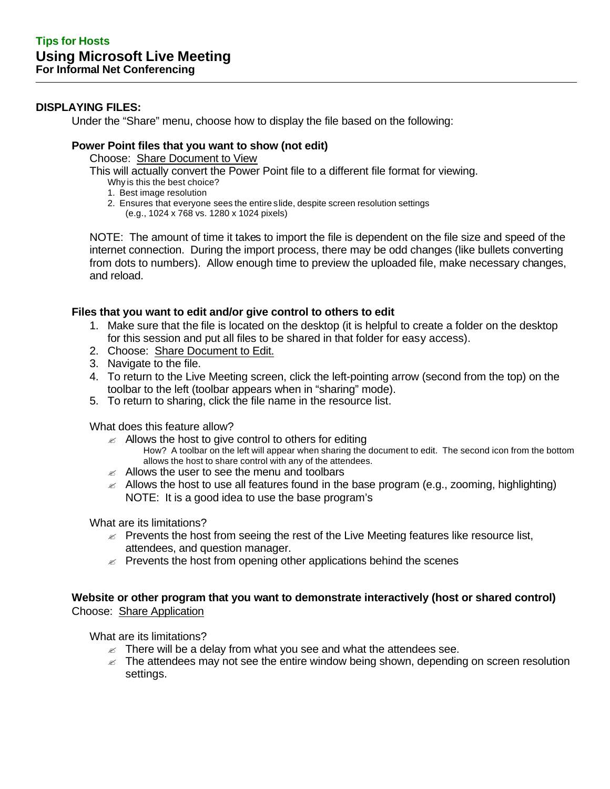## **DISPLAYING FILES:**

Under the "Share" menu, choose how to display the file based on the following:

## **Power Point files that you want to show (not edit)**

Choose: Share Document to View

This will actually convert the Power Point file to a different file format for viewing.

- Why is this the best choice?
- 1. Best image resolution
- 2. Ensures that everyone sees the entire slide, despite screen resolution settings (e.g., 1024 x 768 vs. 1280 x 1024 pixels)

NOTE: The amount of time it takes to import the file is dependent on the file size and speed of the internet connection. During the import process, there may be odd changes (like bullets converting from dots to numbers). Allow enough time to preview the uploaded file, make necessary changes, and reload.

## **Files that you want to edit and/or give control to others to edit**

- 1. Make sure that the file is located on the desktop (it is helpful to create a folder on the desktop for this session and put all files to be shared in that folder for easy access).
- 2. Choose: Share Document to Edit.
- 3. Navigate to the file.
- 4. To return to the Live Meeting screen, click the left-pointing arrow (second from the top) on the toolbar to the left (toolbar appears when in "sharing" mode).
- 5. To return to sharing, click the file name in the resource list.

What does this feature allow?

- $\mathbb Z$  Allows the host to give control to others for editing How? A toolbar on the left will appear when sharing the document to edit. The second icon from the bottom allows the host to share control with any of the attendees.
- $\mathbb Z$  Allows the user to see the menu and toolbars
- $\approx$  Allows the host to use all features found in the base program (e.g., zooming, highlighting) NOTE: It is a good idea to use the base program's

What are its limitations?

- $\approx$  Prevents the host from seeing the rest of the Live Meeting features like resource list, attendees, and question manager.
- $\epsilon$  Prevents the host from opening other applications behind the scenes

## **Website or other program that you want to demonstrate interactively (host or shared control)** Choose: Share Application

What are its limitations?

- $\epsilon$  There will be a delay from what you see and what the attendees see.
- $\mathbb Z$  The attendees may not see the entire window being shown, depending on screen resolution settings.